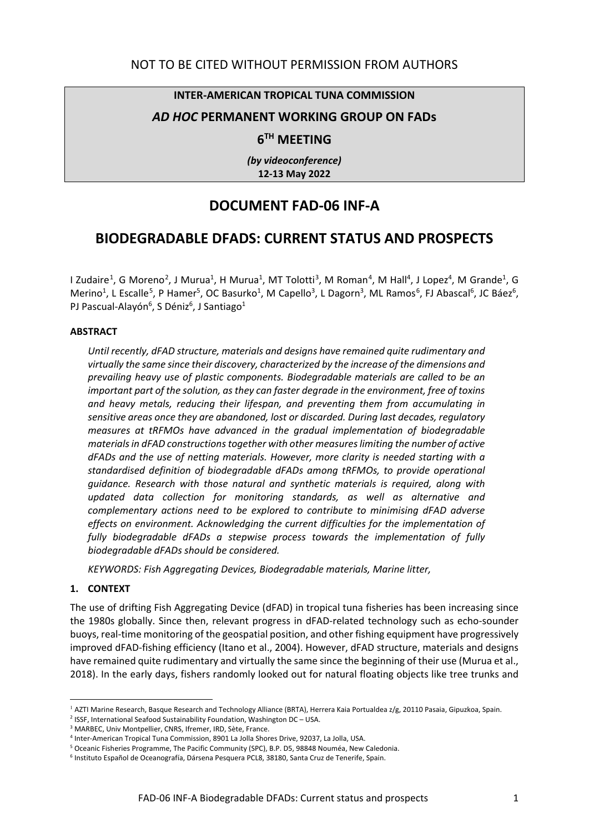#### **INTER-AMERICAN TROPICAL TUNA COMMISSION**

## *AD HOC* **PERMANENT WORKING GROUP ON FADs**

# **6TH MEETING**

*(by videoconference)* **12-13 May 2022**

# **DOCUMENT FAD-06 INF-A**

# **BIODEGRADABLE DFADS: CURRENT STATUS AND PROSPECTS**

I Zudaire<sup>[1](#page-0-0)</sup>, G Moreno<sup>[2](#page-0-1)</sup>, J Murua<sup>1</sup>, H Murua<sup>1</sup>, MT Tolotti<sup>[3](#page-0-2)</sup>, M Roman<sup>[4](#page-0-3)</sup>, M Hall<sup>4</sup>, J Lopez<sup>4</sup>, M Grande<sup>1</sup>, G Merino<sup>1</sup>, L Escalle<sup>[5](#page-0-4)</sup>, P Hamer<sup>5</sup>, OC Basurko<sup>1</sup>, M Capello<sup>3</sup>, L Dagorn<sup>3</sup>, ML Ramos<sup>[6](#page-0-5)</sup>, FJ Abascal<sup>6</sup>, JC Báez<sup>6</sup>, PJ Pascual-Alayón<sup>6</sup>, S Déniz<sup>6</sup>, J Santiago<sup>1</sup>

#### **ABSTRACT**

*Until recently, dFAD structure, materials and designs have remained quite rudimentary and virtually the same since their discovery, characterized by the increase of the dimensions and prevailing heavy use of plastic components. Biodegradable materials are called to be an important part of the solution, as they can faster degrade in the environment, free of toxins and heavy metals, reducing their lifespan, and preventing them from accumulating in sensitive areas once they are abandoned, lost or discarded. During last decades, regulatory measures at tRFMOs have advanced in the gradual implementation of biodegradable materials in dFAD constructions together with other measures limiting the number of active dFADs and the use of netting materials. However, more clarity is needed starting with a standardised definition of biodegradable dFADs among tRFMOs, to provide operational guidance. Research with those natural and synthetic materials is required, along with updated data collection for monitoring standards, as well as alternative and complementary actions need to be explored to contribute to minimising dFAD adverse effects on environment. Acknowledging the current difficulties for the implementation of fully biodegradable dFADs a stepwise process towards the implementation of fully biodegradable dFADs should be considered.*

*KEYWORDS: Fish Aggregating Devices, Biodegradable materials, Marine litter,* 

#### **1. CONTEXT**

The use of drifting Fish Aggregating Device (dFAD) in tropical tuna fisheries has been increasing since the 1980s globally. Since then, relevant progress in dFAD-related technology such as echo-sounder buoys, real-time monitoring of the geospatial position, and other fishing equipment have progressively improved dFAD-fishing efficiency (Itano et al., 2004). However, dFAD structure, materials and designs have remained quite rudimentary and virtually the same since the beginning of their use (Murua et al., 2018). In the early days, fishers randomly looked out for natural floating objects like tree trunks and

<span id="page-0-0"></span><sup>&</sup>lt;sup>1</sup> AZTI Marine Research, Basque Research and Technology Alliance (BRTA), Herrera Kaia Portualdea z/g, 20110 Pasaia, Gipuzkoa, Spain.

<span id="page-0-1"></span><sup>&</sup>lt;sup>2</sup> ISSF, International Seafood Sustainability Foundation, Washington DC – USA.

<span id="page-0-2"></span><sup>&</sup>lt;sup>3</sup> MARBEC, Univ Montpellier, CNRS, Ifremer, IRD, Sète, France.

<span id="page-0-3"></span><sup>4</sup> Inter-American Tropical Tuna Commission, 8901 La Jolla Shores Drive, 92037, La Jolla, USA.

<span id="page-0-4"></span><sup>5</sup> Oceanic Fisheries Programme, The Pacific Community (SPC), B.P. D5, 98848 Nouméa, New Caledonia.

<span id="page-0-5"></span><sup>6</sup> Instituto Español de Oceanografía, Dársena Pesquera PCL8, 38180, Santa Cruz de Tenerife, Spain.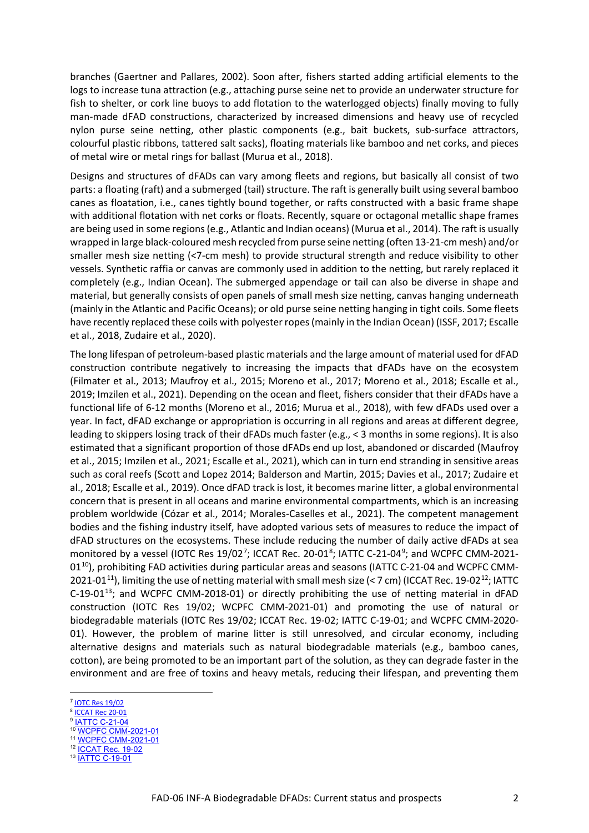branches (Gaertner and Pallares, 2002). Soon after, fishers started adding artificial elements to the logs to increase tuna attraction (e.g., attaching purse seine net to provide an underwater structure for fish to shelter, or cork line buoys to add flotation to the waterlogged objects) finally moving to fully man-made dFAD constructions, characterized by increased dimensions and heavy use of recycled nylon purse seine netting, other plastic components (e.g., bait buckets, sub-surface attractors, colourful plastic ribbons, tattered salt sacks), floating materials like bamboo and net corks, and pieces of metal wire or metal rings for ballast (Murua et al., 2018).

Designs and structures of dFADs can vary among fleets and regions, but basically all consist of two parts: a floating (raft) and a submerged (tail) structure. The raft is generally built using several bamboo canes as floatation, i.e., canes tightly bound together, or rafts constructed with a basic frame shape with additional flotation with net corks or floats. Recently, square or octagonal metallic shape frames are being used in some regions (e.g., Atlantic and Indian oceans) (Murua et al., 2014). The raft is usually wrapped in large black-coloured mesh recycled from purse seine netting (often 13-21-cm mesh) and/or smaller mesh size netting (<7-cm mesh) to provide structural strength and reduce visibility to other vessels. Synthetic raffia or canvas are commonly used in addition to the netting, but rarely replaced it completely (e.g., Indian Ocean). The submerged appendage or tail can also be diverse in shape and material, but generally consists of open panels of small mesh size netting, canvas hanging underneath (mainly in the Atlantic and Pacific Oceans); or old purse seine netting hanging in tight coils. Some fleets have recently replaced these coils with polyester ropes(mainly in the Indian Ocean) (ISSF, 2017; Escalle et al., 2018, Zudaire et al., 2020).

The long lifespan of petroleum-based plastic materials and the large amount of material used for dFAD construction contribute negatively to increasing the impacts that dFADs have on the ecosystem (Filmater et al., 2013; Maufroy et al., 2015; Moreno et al., 2017; Moreno et al., 2018; Escalle et al., 2019; Imzilen et al., 2021). Depending on the ocean and fleet, fishers consider that their dFADs have a functional life of 6-12 months (Moreno et al., 2016; Murua et al., 2018), with few dFADs used over a year. In fact, dFAD exchange or appropriation is occurring in all regions and areas at different degree, leading to skippers losing track of their dFADs much faster (e.g., < 3 months in some regions). It is also estimated that a significant proportion of those dFADs end up lost, abandoned or discarded (Maufroy et al., 2015; Imzilen et al., 2021; Escalle et al., 2021), which can in turn end stranding in sensitive areas such as coral reefs (Scott and Lopez 2014; Balderson and Martin, 2015; Davies et al., 2017; Zudaire et al., 2018; Escalle et al., 2019). Once dFAD track is lost, it becomes marine litter, a global environmental concern that is present in all oceans and marine environmental compartments, which is an increasing problem worldwide (Cózar et al., 2014; Morales-Caselles et al., 2021). The competent management bodies and the fishing industry itself, have adopted various sets of measures to reduce the impact of dFAD structures on the ecosystems. These include reducing the number of daily active dFADs at sea monitored by a vessel (IOTC Res 19/02<sup>[7](#page-1-0)</sup>; ICCAT Rec. 20-01<sup>[8](#page-1-1)</sup>; IATTC C-21-04<sup>[9](#page-1-2)</sup>; and WCPFC CMM-2021-01<sup>10</sup>), prohibiting FAD activities during particular areas and seasons (IATTC C-21-04 and WCPFC CMM-2021-01<sup>[11](#page-1-4)</sup>), limiting the use of netting material with small mesh size (< 7 cm) (ICCAT Rec. 19-02<sup>12</sup>; IATTC  $C$ -19-01<sup>[13](#page-1-6)</sup>; and WCPFC CMM-2018-01) or directly prohibiting the use of netting material in dFAD construction (IOTC Res 19/02; WCPFC CMM-2021-01) and promoting the use of natural or biodegradable materials (IOTC Res 19/02; ICCAT Rec. 19-02; IATTC C-19-01; and WCPFC CMM-2020- 01). However, the problem of marine litter is still unresolved, and circular economy, including alternative designs and materials such as natural biodegradable materials (e.g., bamboo canes, cotton), are being promoted to be an important part of the solution, as they can degrade faster in the environment and are free of toxins and heavy metals, reducing their lifespan, and preventing them

<span id="page-1-0"></span><sup>7</sup> [IOTC Res 19/02](https://www.iotc.org/sites/default/files/documents/compliance/cmm/iotc_cmm_1902.pdf)

<span id="page-1-1"></span><sup>8</sup> [ICCAT Rec 20-01](https://www.iccat.int/Documents/Recs/compendiopdf-e/2020-01-e.pdf)

<span id="page-1-2"></span><sup>&</sup>lt;sup>9</sup> <u>[IATTC C-21-04](https://www.iattc.org/PDFFiles/Resolutions/IATTC/_English/C-21-04-Active_Tuna%20conservation%20in%20the%20EPO%202022-2024.pdf)</u>

<span id="page-1-3"></span><sup>10</sup> [WCPFC CMM-2021-01](https://www.wcpfc.int/doc/cmm-2020-01/conservation-and-management-measure-bigeye-yellowfin-and-skipjack-tuna-western-and)

<span id="page-1-4"></span><sup>11</sup> [WCPFC CMM-2021-01](https://www.wcpfc.int/doc/cmm-2020-01/conservation-and-management-measure-bigeye-yellowfin-and-skipjack-tuna-western-and) 12 **[ICCAT Rec. 19-02](https://www.iccat.int/Documents/Recs/compendiopdf-e/2019-02-e.pdf)** 

<span id="page-1-6"></span><span id="page-1-5"></span><sup>13</sup> [IATTC C-19-01](https://www.iattc.org/PDFFiles/Resolutions/IATTC/_English/C-19-01-Active_Amends%20and%20replaces%20C-18-05%20FADs.pdf)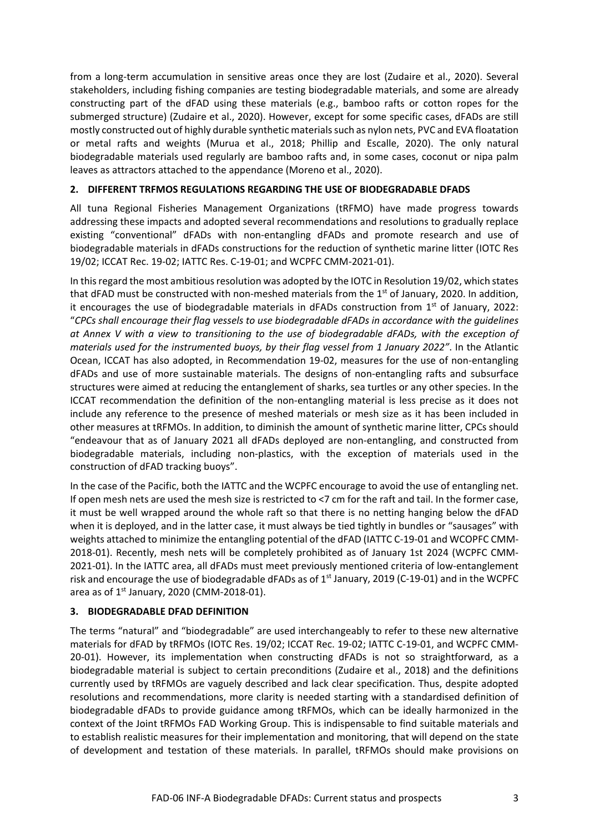from a long-term accumulation in sensitive areas once they are lost (Zudaire et al., 2020). Several stakeholders, including fishing companies are testing biodegradable materials, and some are already constructing part of the dFAD using these materials (e.g., bamboo rafts or cotton ropes for the submerged structure) (Zudaire et al., 2020). However, except for some specific cases, dFADs are still mostly constructed out of highly durable synthetic materials such as nylon nets, PVC and EVA floatation or metal rafts and weights (Murua et al., 2018; Phillip and Escalle, 2020). The only natural biodegradable materials used regularly are bamboo rafts and, in some cases, coconut or nipa palm leaves as attractors attached to the appendance (Moreno et al., 2020).

## **2. DIFFERENT TRFMOS REGULATIONS REGARDING THE USE OF BIODEGRADABLE DFADS**

All tuna Regional Fisheries Management Organizations (tRFMO) have made progress towards addressing these impacts and adopted several recommendations and resolutions to gradually replace existing "conventional" dFADs with non-entangling dFADs and promote research and use of biodegradable materials in dFADs constructions for the reduction of synthetic marine litter (IOTC Res 19/02; ICCAT Rec. 19-02; IATTC Res. C-19-01; and WCPFC CMM-2021-01).

In this regard the most ambitious resolution was adopted by the IOTC in Resolution 19/02, which states that dFAD must be constructed with non-meshed materials from the  $1<sup>st</sup>$  of January, 2020. In addition, it encourages the use of biodegradable materials in dFADs construction from  $1<sup>st</sup>$  of January, 2022: "*CPCs shall encourage their flag vessels to use biodegradable dFADs in accordance with the guidelines at Annex V with a view to transitioning to the use of biodegradable dFADs, with the exception of materials used for the instrumented buoys, by their flag vessel from 1 January 2022"*. In the Atlantic Ocean, ICCAT has also adopted, in Recommendation 19-02, measures for the use of non-entangling dFADs and use of more sustainable materials. The designs of non-entangling rafts and subsurface structures were aimed at reducing the entanglement of sharks, sea turtles or any other species. In the ICCAT recommendation the definition of the non-entangling material is less precise as it does not include any reference to the presence of meshed materials or mesh size as it has been included in other measures at tRFMOs. In addition, to diminish the amount of synthetic marine litter, CPCs should "endeavour that as of January 2021 all dFADs deployed are non-entangling, and constructed from biodegradable materials, including non-plastics, with the exception of materials used in the construction of dFAD tracking buoys".

In the case of the Pacific, both the IATTC and the WCPFC encourage to avoid the use of entangling net. If open mesh nets are used the mesh size is restricted to <7 cm for the raft and tail. In the former case, it must be well wrapped around the whole raft so that there is no netting hanging below the dFAD when it is deployed, and in the latter case, it must always be tied tightly in bundles or "sausages" with weights attached to minimize the entangling potential of the dFAD (IATTC C-19-01 and WCOPFC CMM-2018-01). Recently, mesh nets will be completely prohibited as of January 1st 2024 (WCPFC CMM-2021-01). In the IATTC area, all dFADs must meet previously mentioned criteria of low-entanglement risk and encourage the use of biodegradable dFADs as of  $1<sup>st</sup>$  January, 2019 (C-19-01) and in the WCPFC area as of  $1^{st}$  January, 2020 (CMM-2018-01).

#### **3. BIODEGRADABLE DFAD DEFINITION**

The terms "natural" and "biodegradable" are used interchangeably to refer to these new alternative materials for dFAD by tRFMOs (IOTC Res. 19/02; ICCAT Rec. 19-02; IATTC C-19-01, and WCPFC CMM-20-01). However, its implementation when constructing dFADs is not so straightforward, as a biodegradable material is subject to certain preconditions (Zudaire et al., 2018) and the definitions currently used by tRFMOs are vaguely described and lack clear specification. Thus, despite adopted resolutions and recommendations, more clarity is needed starting with a standardised definition of biodegradable dFADs to provide guidance among tRFMOs, which can be ideally harmonized in the context of the Joint tRFMOs FAD Working Group. This is indispensable to find suitable materials and to establish realistic measures for their implementation and monitoring, that will depend on the state of development and testation of these materials. In parallel, tRFMOs should make provisions on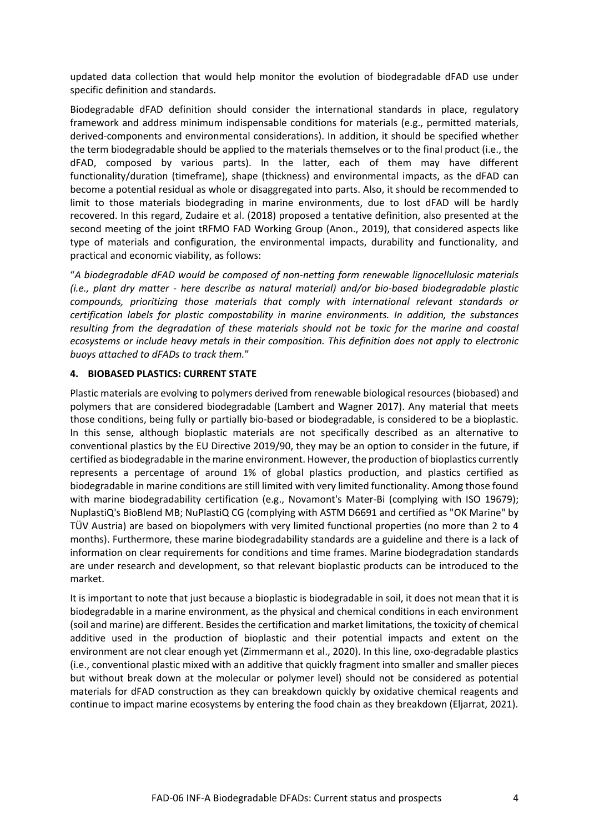updated data collection that would help monitor the evolution of biodegradable dFAD use under specific definition and standards.

Biodegradable dFAD definition should consider the international standards in place, regulatory framework and address minimum indispensable conditions for materials (e.g., permitted materials, derived-components and environmental considerations). In addition, it should be specified whether the term biodegradable should be applied to the materials themselves or to the final product (i.e., the dFAD, composed by various parts). In the latter, each of them may have different functionality/duration (timeframe), shape (thickness) and environmental impacts, as the dFAD can become a potential residual as whole or disaggregated into parts. Also, it should be recommended to limit to those materials biodegrading in marine environments, due to lost dFAD will be hardly recovered. In this regard, Zudaire et al. (2018) proposed a tentative definition, also presented at the second meeting of the joint tRFMO FAD Working Group (Anon., 2019), that considered aspects like type of materials and configuration, the environmental impacts, durability and functionality, and practical and economic viability, as follows:

"*A biodegradable dFAD would be composed of non-netting form renewable lignocellulosic materials (i.e., plant dry matter - here describe as natural material) and/or bio-based biodegradable plastic compounds, prioritizing those materials that comply with international relevant standards or certification labels for plastic compostability in marine environments. In addition, the substances resulting from the degradation of these materials should not be toxic for the marine and coastal ecosystems or include heavy metals in their composition. This definition does not apply to electronic buoys attached to dFADs to track them.*"

#### **4. BIOBASED PLASTICS: CURRENT STATE**

Plastic materials are evolving to polymers derived from renewable biological resources (biobased) and polymers that are considered biodegradable (Lambert and Wagner 2017). Any material that meets those conditions, being fully or partially bio-based or biodegradable, is considered to be a bioplastic. In this sense, although bioplastic materials are not specifically described as an alternative to conventional plastics by the EU Directive 2019/90, they may be an option to consider in the future, if certified as biodegradable in the marine environment. However, the production of bioplastics currently represents a percentage of around 1% of global plastics production, and plastics certified as biodegradable in marine conditions are still limited with very limited functionality. Among those found with marine biodegradability certification (e.g., Novamont's Mater-Bi (complying with ISO 19679); NuplastiQ's BioBlend MB; NuPlastiQ CG (complying with ASTM D6691 and certified as "OK Marine" by TÜV Austria) are based on biopolymers with very limited functional properties (no more than 2 to 4 months). Furthermore, these marine biodegradability standards are a guideline and there is a lack of information on clear requirements for conditions and time frames. Marine biodegradation standards are under research and development, so that relevant bioplastic products can be introduced to the market.

It is important to note that just because a bioplastic is biodegradable in soil, it does not mean that it is biodegradable in a marine environment, as the physical and chemical conditions in each environment (soil and marine) are different. Besides the certification and market limitations, the toxicity of chemical additive used in the production of bioplastic and their potential impacts and extent on the environment are not clear enough yet (Zimmermann et al., 2020). In this line, oxo-degradable plastics (i.e., conventional plastic mixed with an additive that quickly fragment into smaller and smaller pieces but without break down at the molecular or polymer level) should not be considered as potential materials for dFAD construction as they can breakdown quickly by oxidative chemical reagents and continue to impact marine ecosystems by entering the food chain as they breakdown (Eljarrat, 2021).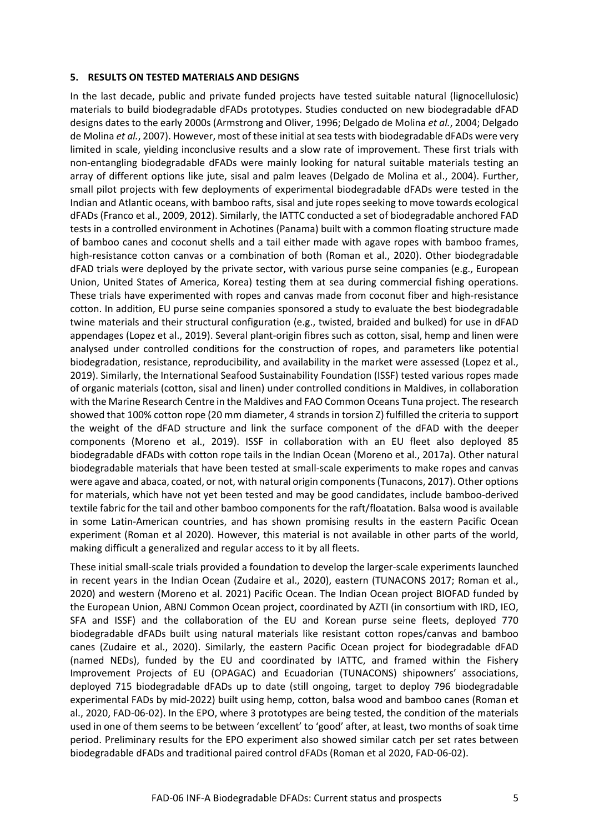#### **5. RESULTS ON TESTED MATERIALS AND DESIGNS**

In the last decade, public and private funded projects have tested suitable natural (lignocellulosic) materials to build biodegradable dFADs prototypes. Studies conducted on new biodegradable dFAD designs dates to the early 2000s (Armstrong and Oliver, 1996; Delgado de Molina *et al.*, 2004; Delgado de Molina *et al.*, 2007). However, most of these initial at sea tests with biodegradable dFADs were very limited in scale, yielding inconclusive results and a slow rate of improvement. These first trials with non-entangling biodegradable dFADs were mainly looking for natural suitable materials testing an array of different options like jute, sisal and palm leaves (Delgado de Molina et al., 2004). Further, small pilot projects with few deployments of experimental biodegradable dFADs were tested in the Indian and Atlantic oceans, with bamboo rafts, sisal and jute ropes seeking to move towards ecological dFADs (Franco et al., 2009, 2012). Similarly, the IATTC conducted a set of biodegradable anchored FAD tests in a controlled environment in Achotines (Panama) built with a common floating structure made of bamboo canes and coconut shells and a tail either made with agave ropes with bamboo frames, high-resistance cotton canvas or a combination of both (Roman et al., 2020). Other biodegradable dFAD trials were deployed by the private sector, with various purse seine companies (e.g., European Union, United States of America, Korea) testing them at sea during commercial fishing operations. These trials have experimented with ropes and canvas made from coconut fiber and high-resistance cotton. In addition, EU purse seine companies sponsored a study to evaluate the best biodegradable twine materials and their structural configuration (e.g., twisted, braided and bulked) for use in dFAD appendages (Lopez et al., 2019). Several plant-origin fibres such as cotton, sisal, hemp and linen were analysed under controlled conditions for the construction of ropes, and parameters like potential biodegradation, resistance, reproducibility, and availability in the market were assessed (Lopez et al., 2019). Similarly, the International Seafood Sustainability Foundation (ISSF) tested various ropes made of organic materials (cotton, sisal and linen) under controlled conditions in Maldives, in collaboration with the Marine Research Centre in the Maldives and FAO Common Oceans Tuna project. The research showed that 100% cotton rope (20 mm diameter, 4 strands in torsion Z) fulfilled the criteria to support the weight of the dFAD structure and link the surface component of the dFAD with the deeper components (Moreno et al., 2019). ISSF in collaboration with an EU fleet also deployed 85 biodegradable dFADs with cotton rope tails in the Indian Ocean (Moreno et al., 2017a). Other natural biodegradable materials that have been tested at small-scale experiments to make ropes and canvas were agave and abaca, coated, or not, with natural origin components(Tunacons, 2017). Other options for materials, which have not yet been tested and may be good candidates, include bamboo-derived textile fabric for the tail and other bamboo components for the raft/floatation. Balsa wood is available in some Latin-American countries, and has shown promising results in the eastern Pacific Ocean experiment (Roman et al 2020). However, this material is not available in other parts of the world, making difficult a generalized and regular access to it by all fleets.

These initial small-scale trials provided a foundation to develop the larger-scale experiments launched in recent years in the Indian Ocean (Zudaire et al., 2020), eastern (TUNACONS 2017; Roman et al., 2020) and western (Moreno et al. 2021) Pacific Ocean. The Indian Ocean project BIOFAD funded by the European Union, ABNJ Common Ocean project, coordinated by AZTI (in consortium with IRD, IEO, SFA and ISSF) and the collaboration of the EU and Korean purse seine fleets, deployed 770 biodegradable dFADs built using natural materials like resistant cotton ropes/canvas and bamboo canes (Zudaire et al., 2020). Similarly, the eastern Pacific Ocean project for biodegradable dFAD (named NEDs), funded by the EU and coordinated by IATTC, and framed within the Fishery Improvement Projects of EU (OPAGAC) and Ecuadorian (TUNACONS) shipowners' associations, deployed 715 biodegradable dFADs up to date (still ongoing, target to deploy 796 biodegradable experimental FADs by mid-2022) built using hemp, cotton, balsa wood and bamboo canes (Roman et al., 2020, FAD-06-02). In the EPO, where 3 prototypes are being tested, the condition of the materials used in one of them seems to be between 'excellent' to 'good' after, at least, two months of soak time period. Preliminary results for the EPO experiment also showed similar catch per set rates between biodegradable dFADs and traditional paired control dFADs (Roman et al 2020, FAD-06-02).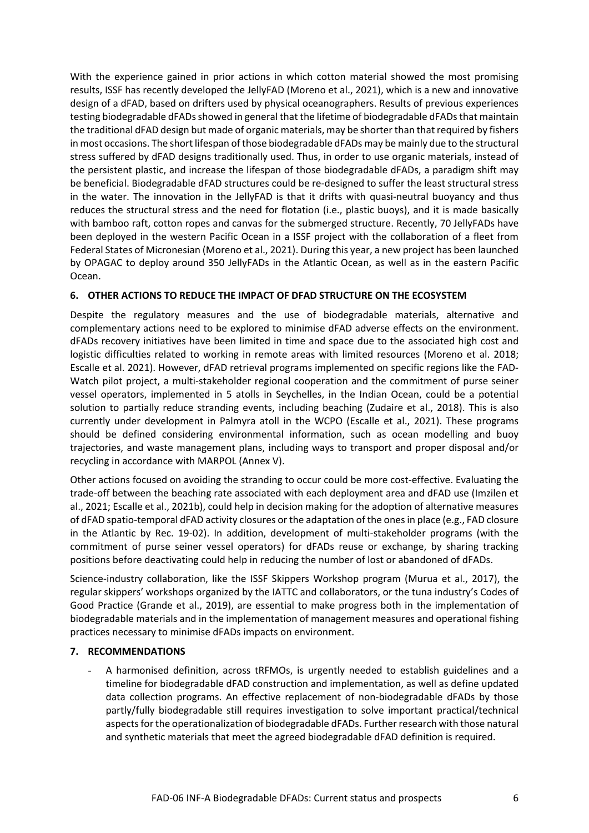With the experience gained in prior actions in which cotton material showed the most promising results, ISSF has recently developed the JellyFAD (Moreno et al., 2021), which is a new and innovative design of a dFAD, based on drifters used by physical oceanographers. Results of previous experiences testing biodegradable dFADs showed in general that the lifetime of biodegradable dFADs that maintain the traditional dFAD design but made of organic materials, may be shorter than that required by fishers in most occasions. The short lifespan of those biodegradable dFADs may be mainly due to the structural stress suffered by dFAD designs traditionally used. Thus, in order to use organic materials, instead of the persistent plastic, and increase the lifespan of those biodegradable dFADs, a paradigm shift may be beneficial. Biodegradable dFAD structures could be re-designed to suffer the least structural stress in the water. The innovation in the JellyFAD is that it drifts with quasi-neutral buoyancy and thus reduces the structural stress and the need for flotation (i.e., plastic buoys), and it is made basically with bamboo raft, cotton ropes and canvas for the submerged structure. Recently, 70 JellyFADs have been deployed in the western Pacific Ocean in a ISSF project with the collaboration of a fleet from Federal States of Micronesian (Moreno et al., 2021). During this year, a new project has been launched by OPAGAC to deploy around 350 JellyFADs in the Atlantic Ocean, as well as in the eastern Pacific Ocean.

## **6. OTHER ACTIONS TO REDUCE THE IMPACT OF DFAD STRUCTURE ON THE ECOSYSTEM**

Despite the regulatory measures and the use of biodegradable materials, alternative and complementary actions need to be explored to minimise dFAD adverse effects on the environment. dFADs recovery initiatives have been limited in time and space due to the associated high cost and logistic difficulties related to working in remote areas with limited resources (Moreno et al. 2018; Escalle et al. 2021). However, dFAD retrieval programs implemented on specific regions like the FAD-Watch pilot project, a multi-stakeholder regional cooperation and the commitment of purse seiner vessel operators, implemented in 5 atolls in Seychelles, in the Indian Ocean, could be a potential solution to partially reduce stranding events, including beaching (Zudaire et al., 2018). This is also currently under development in Palmyra atoll in the WCPO (Escalle et al., 2021). These programs should be defined considering environmental information, such as ocean modelling and buoy trajectories, and waste management plans, including ways to transport and proper disposal and/or recycling in accordance with MARPOL (Annex V).

Other actions focused on avoiding the stranding to occur could be more cost-effective. Evaluating the trade-off between the beaching rate associated with each deployment area and dFAD use (Imzilen et al., 2021; Escalle et al., 2021b), could help in decision making for the adoption of alternative measures of dFAD spatio-temporal dFAD activity closures or the adaptation of the ones in place (e.g., FAD closure in the Atlantic by Rec. 19-02). In addition, development of multi-stakeholder programs (with the commitment of purse seiner vessel operators) for dFADs reuse or exchange, by sharing tracking positions before deactivating could help in reducing the number of lost or abandoned of dFADs.

Science-industry collaboration, like the ISSF Skippers Workshop program (Murua et al., 2017), the regular skippers' workshops organized by the IATTC and collaborators, or the tuna industry's Codes of Good Practice (Grande et al., 2019), are essential to make progress both in the implementation of biodegradable materials and in the implementation of management measures and operational fishing practices necessary to minimise dFADs impacts on environment.

## **7. RECOMMENDATIONS**

- A harmonised definition, across tRFMOs, is urgently needed to establish guidelines and a timeline for biodegradable dFAD construction and implementation, as well as define updated data collection programs. An effective replacement of non-biodegradable dFADs by those partly/fully biodegradable still requires investigation to solve important practical/technical aspects for the operationalization of biodegradable dFADs. Further research with those natural and synthetic materials that meet the agreed biodegradable dFAD definition is required.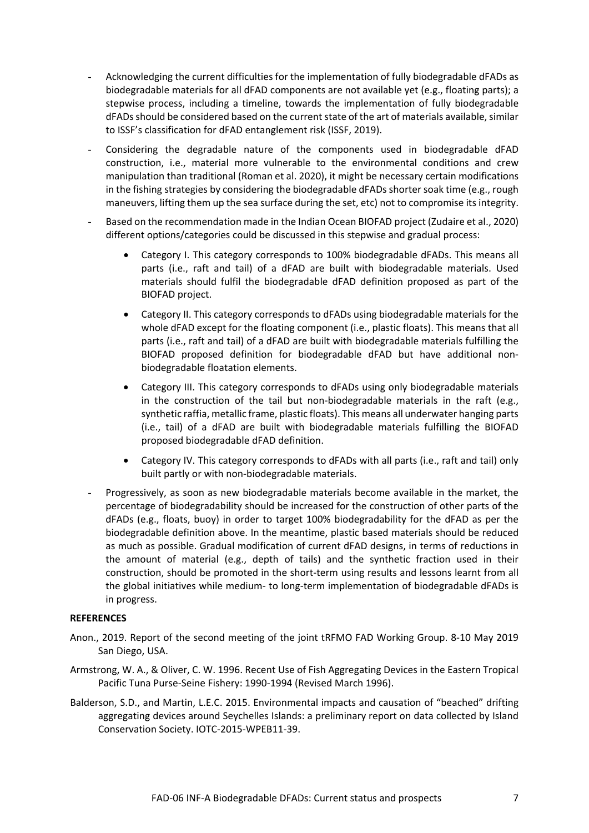- Acknowledging the current difficulties for the implementation of fully biodegradable dFADs as biodegradable materials for all dFAD components are not available yet (e.g., floating parts); a stepwise process, including a timeline, towards the implementation of fully biodegradable dFADs should be considered based on the current state of the art of materials available, similar to ISSF's classification for dFAD entanglement risk (ISSF, 2019).
- Considering the degradable nature of the components used in biodegradable dFAD construction, i.e., material more vulnerable to the environmental conditions and crew manipulation than traditional (Roman et al. 2020), it might be necessary certain modifications in the fishing strategies by considering the biodegradable dFADs shorter soak time (e.g., rough maneuvers, lifting them up the sea surface during the set, etc) not to compromise its integrity.
- Based on the recommendation made in the Indian Ocean BIOFAD project (Zudaire et al., 2020) different options/categories could be discussed in this stepwise and gradual process:
	- Category I. This category corresponds to 100% biodegradable dFADs. This means all parts (i.e., raft and tail) of a dFAD are built with biodegradable materials. Used materials should fulfil the biodegradable dFAD definition proposed as part of the BIOFAD project.
	- Category II. This category corresponds to dFADs using biodegradable materials for the whole dFAD except for the floating component (i.e., plastic floats). This means that all parts (i.e., raft and tail) of a dFAD are built with biodegradable materials fulfilling the BIOFAD proposed definition for biodegradable dFAD but have additional nonbiodegradable floatation elements.
	- Category III. This category corresponds to dFADs using only biodegradable materials in the construction of the tail but non-biodegradable materials in the raft (e.g., synthetic raffia, metallic frame, plastic floats). This means all underwater hanging parts (i.e., tail) of a dFAD are built with biodegradable materials fulfilling the BIOFAD proposed biodegradable dFAD definition.
	- Category IV. This category corresponds to dFADs with all parts (i.e., raft and tail) only built partly or with non-biodegradable materials.
- Progressively, as soon as new biodegradable materials become available in the market, the percentage of biodegradability should be increased for the construction of other parts of the dFADs (e.g., floats, buoy) in order to target 100% biodegradability for the dFAD as per the biodegradable definition above. In the meantime, plastic based materials should be reduced as much as possible. Gradual modification of current dFAD designs, in terms of reductions in the amount of material (e.g., depth of tails) and the synthetic fraction used in their construction, should be promoted in the short-term using results and lessons learnt from all the global initiatives while medium- to long-term implementation of biodegradable dFADs is in progress.

#### **REFERENCES**

- Anon., 2019. Report of the second meeting of the joint tRFMO FAD Working Group. 8-10 May 2019 San Diego, USA.
- Armstrong, W. A., & Oliver, C. W. 1996. Recent Use of Fish Aggregating Devices in the Eastern Tropical Pacific Tuna Purse-Seine Fishery: 1990-1994 (Revised March 1996).
- Balderson, S.D., and Martin, L.E.C. 2015. Environmental impacts and causation of "beached" drifting aggregating devices around Seychelles Islands: a preliminary report on data collected by Island Conservation Society. IOTC-2015-WPEB11-39.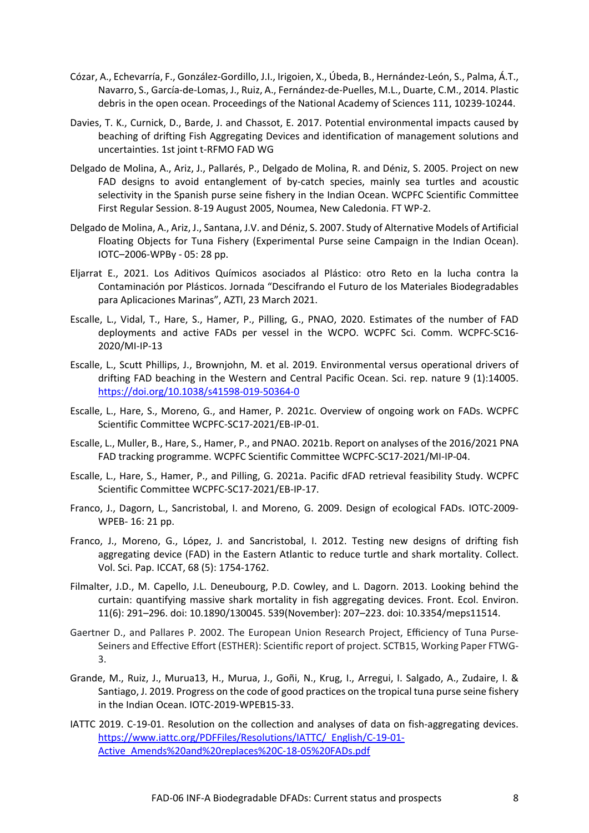- Cózar, A., Echevarría, F., González-Gordillo, J.I., Irigoien, X., Úbeda, B., Hernández-León, S., Palma, Á.T., Navarro, S., García-de-Lomas, J., Ruiz, A., Fernández-de-Puelles, M.L., Duarte, C.M., 2014. Plastic debris in the open ocean. Proceedings of the National Academy of Sciences 111, 10239-10244.
- Davies, T. K., Curnick, D., Barde, J. and Chassot, E. 2017. Potential environmental impacts caused by beaching of drifting Fish Aggregating Devices and identification of management solutions and uncertainties. 1st joint t-RFMO FAD WG
- Delgado de Molina, A., Ariz, J., Pallarés, P., Delgado de Molina, R. and Déniz, S. 2005. Project on new FAD designs to avoid entanglement of by-catch species, mainly sea turtles and acoustic selectivity in the Spanish purse seine fishery in the Indian Ocean. WCPFC Scientific Committee First Regular Session. 8-19 August 2005, Noumea, New Caledonia. FT WP-2.
- Delgado de Molina, A., Ariz, J., Santana, J.V. and Déniz, S. 2007. Study of Alternative Models of Artificial Floating Objects for Tuna Fishery (Experimental Purse seine Campaign in the Indian Ocean). IOTC–2006-WPBy - 05: 28 pp.
- Eljarrat E., 2021. Los Aditivos Químicos asociados al Plástico: otro Reto en la lucha contra la Contaminación por Plásticos. Jornada "Descifrando el Futuro de los Materiales Biodegradables para Aplicaciones Marinas", AZTI, 23 March 2021.
- Escalle, L., Vidal, T., Hare, S., Hamer, P., Pilling, G., PNAO, 2020. Estimates of the number of FAD deployments and active FADs per vessel in the WCPO. WCPFC Sci. Comm. WCPFC-SC16- 2020/MI-IP-13
- Escalle, L., Scutt Phillips, J., Brownjohn, M. et al. 2019. Environmental versus operational drivers of drifting FAD beaching in the Western and Central Pacific Ocean. Sci. rep. nature 9 (1):14005. <https://doi.org/10.1038/s41598-019-50364-0>
- Escalle, L., Hare, S., Moreno, G., and Hamer, P. 2021c. Overview of ongoing work on FADs. WCPFC Scientific Committee WCPFC-SC17-2021/EB-IP-01.
- Escalle, L., Muller, B., Hare, S., Hamer, P., and PNAO. 2021b. Report on analyses of the 2016/2021 PNA FAD tracking programme. WCPFC Scientific Committee WCPFC-SC17-2021/MI-IP-04.
- Escalle, L., Hare, S., Hamer, P., and Pilling, G. 2021a. Pacific dFAD retrieval feasibility Study. WCPFC Scientific Committee WCPFC-SC17-2021/EB-IP-17.
- Franco, J., Dagorn, L., Sancristobal, I. and Moreno, G. 2009. Design of ecological FADs. IOTC-2009- WPEB- 16: 21 pp.
- Franco, J., Moreno, G., López, J. and Sancristobal, I. 2012. Testing new designs of drifting fish aggregating device (FAD) in the Eastern Atlantic to reduce turtle and shark mortality. Collect. Vol. Sci. Pap. ICCAT, 68 (5): 1754-1762.
- Filmalter, J.D., M. Capello, J.L. Deneubourg, P.D. Cowley, and L. Dagorn. 2013. Looking behind the curtain: quantifying massive shark mortality in fish aggregating devices. Front. Ecol. Environ. 11(6): 291–296. doi: 10.1890/130045. 539(November): 207–223. doi: 10.3354/meps11514.
- Gaertner D., and Pallares P. 2002. The European Union Research Project, Efficiency of Tuna Purse-Seiners and Effective Effort (ESTHER): Scientific report of project. SCTB15, Working Paper FTWG-3.
- Grande, M., Ruiz, J., Murua13, H., Murua, J., Goñi, N., Krug, I., Arregui, I. Salgado, A., Zudaire, I. & Santiago, J. 2019. Progress on the code of good practices on the tropical tuna purse seine fishery in the Indian Ocean. IOTC-2019-WPEB15-33.
- IATTC 2019. C-19-01. Resolution on the collection and analyses of data on fish-aggregating devices. [https://www.iattc.org/PDFFiles/Resolutions/IATTC/\\_English/C-19-01-](https://www.iattc.org/PDFFiles/Resolutions/IATTC/_English/C-19-01-Active_Amends%20and%20replaces%20C-18-05%20FADs.pdf) [Active\\_Amends%20and%20replaces%20C-18-05%20FADs.pdf](https://www.iattc.org/PDFFiles/Resolutions/IATTC/_English/C-19-01-Active_Amends%20and%20replaces%20C-18-05%20FADs.pdf)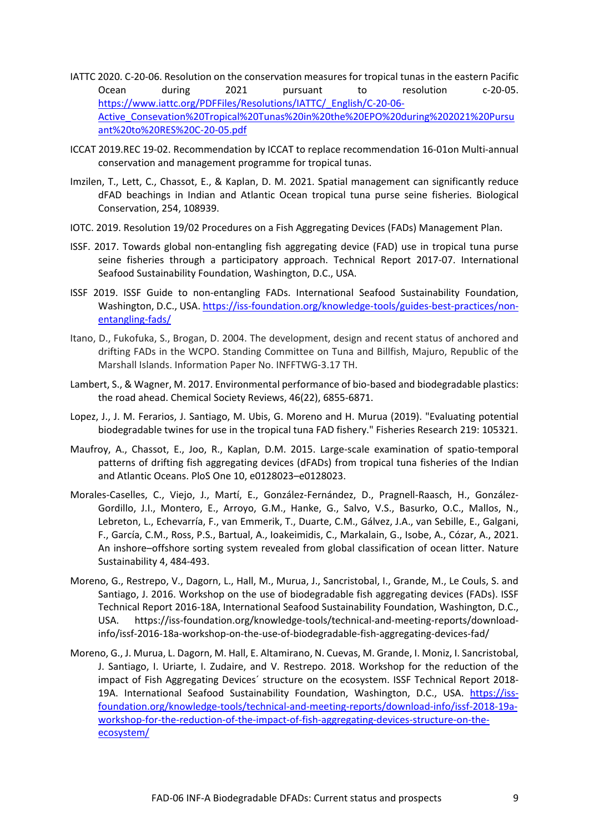- IATTC 2020. C-20-06. Resolution on the conservation measures for tropical tunas in the eastern Pacific Ocean during 2021 pursuant to resolution c-20-05. https://www.iattc.org/PDFFiles/Resolutions/IATTC/\_English/C-20-06- Active\_Consevation%20Tropical%20Tunas%20in%20the%20EPO%20during%202021%20Pursu ant%20to%20RES%20C-20-05.pdf
- ICCAT 2019.REC 19-02. Recommendation by ICCAT to replace recommendation 16-01on Multi-annual conservation and management programme for tropical tunas.
- Imzilen, T., Lett, C., Chassot, E., & Kaplan, D. M. 2021. Spatial management can significantly reduce dFAD beachings in Indian and Atlantic Ocean tropical tuna purse seine fisheries. Biological Conservation, 254, 108939.
- IOTC. 2019. Resolution 19/02 Procedures on a Fish Aggregating Devices (FADs) Management Plan.
- ISSF. 2017. Towards global non-entangling fish aggregating device (FAD) use in tropical tuna purse seine fisheries through a participatory approach. Technical Report 2017-07. International Seafood Sustainability Foundation, Washington, D.C., USA.
- ISSF 2019. ISSF Guide to non-entangling FADs. International Seafood Sustainability Foundation, Washington, D.C., USA. [https://iss-foundation.org/knowledge-tools/guides-best-practices/non](https://iss-foundation.org/knowledge-tools/guides-best-practices/non-entangling-fads/)[entangling-fads/](https://iss-foundation.org/knowledge-tools/guides-best-practices/non-entangling-fads/)
- Itano, D., Fukofuka, S., Brogan, D. 2004. The development, design and recent status of anchored and drifting FADs in the WCPO. Standing Committee on Tuna and Billfish, Majuro, Republic of the Marshall Islands. Information Paper No. INFFTWG-3.17 TH.
- Lambert, S., & Wagner, M. 2017. Environmental performance of bio-based and biodegradable plastics: the road ahead. Chemical Society Reviews, 46(22), 6855-6871.
- Lopez, J., J. M. Ferarios, J. Santiago, M. Ubis, G. Moreno and H. Murua (2019). "Evaluating potential biodegradable twines for use in the tropical tuna FAD fishery." Fisheries Research 219: 105321.
- Maufroy, A., Chassot, E., Joo, R., Kaplan, D.M. 2015. Large-scale examination of spatio-temporal patterns of drifting fish aggregating devices (dFADs) from tropical tuna fisheries of the Indian and Atlantic Oceans. PloS One 10, e0128023–e0128023.
- Morales-Caselles, C., Viejo, J., Martí, E., González-Fernández, D., Pragnell-Raasch, H., González-Gordillo, J.I., Montero, E., Arroyo, G.M., Hanke, G., Salvo, V.S., Basurko, O.C., Mallos, N., Lebreton, L., Echevarría, F., van Emmerik, T., Duarte, C.M., Gálvez, J.A., van Sebille, E., Galgani, F., García, C.M., Ross, P.S., Bartual, A., Ioakeimidis, C., Markalain, G., Isobe, A., Cózar, A., 2021. An inshore–offshore sorting system revealed from global classification of ocean litter. Nature Sustainability 4, 484-493.
- Moreno, G., Restrepo, V., Dagorn, L., Hall, M., Murua, J., Sancristobal, I., Grande, M., Le Couls, S. and Santiago, J. 2016. Workshop on the use of biodegradable fish aggregating devices (FADs). ISSF Technical Report 2016-18A, International Seafood Sustainability Foundation, Washington, D.C., USA. [https://iss-foundation.org/knowledge-tools/technical-and-meeting-reports/download](https://iss-foundation.org/knowledge-tools/technical-and-meeting-reports/download-info/issf-2016-18a-workshop-on-the-use-of-biodegradable-fish-aggregating-devices-fad/)[info/issf-2016-18a-workshop-on-the-use-of-biodegradable-fish-aggregating-devices-fad/](https://iss-foundation.org/knowledge-tools/technical-and-meeting-reports/download-info/issf-2016-18a-workshop-on-the-use-of-biodegradable-fish-aggregating-devices-fad/)
- Moreno, G., J. Murua, L. Dagorn, M. Hall, E. Altamirano, N. Cuevas, M. Grande, I. Moniz, I. Sancristobal, J. Santiago, I. Uriarte, I. Zudaire, and V. Restrepo. 2018. Workshop for the reduction of the impact of Fish Aggregating Devices´ structure on the ecosystem. ISSF Technical Report 2018 19A. International Seafood Sustainability Foundation, Washington, D.C., USA. [https://iss](https://iss-foundation.org/knowledge-tools/technical-and-meeting-reports/download-info/issf-2018-19a-workshop-for-the-reduction-of-the-impact-of-fish-aggregating-devices-structure-on-the-ecosystem/)[foundation.org/knowledge-tools/technical-and-meeting-reports/download-info/issf-2018-19a](https://iss-foundation.org/knowledge-tools/technical-and-meeting-reports/download-info/issf-2018-19a-workshop-for-the-reduction-of-the-impact-of-fish-aggregating-devices-structure-on-the-ecosystem/)[workshop-for-the-reduction-of-the-impact-of-fish-aggregating-devices-structure-on-the](https://iss-foundation.org/knowledge-tools/technical-and-meeting-reports/download-info/issf-2018-19a-workshop-for-the-reduction-of-the-impact-of-fish-aggregating-devices-structure-on-the-ecosystem/)[ecosystem/](https://iss-foundation.org/knowledge-tools/technical-and-meeting-reports/download-info/issf-2018-19a-workshop-for-the-reduction-of-the-impact-of-fish-aggregating-devices-structure-on-the-ecosystem/)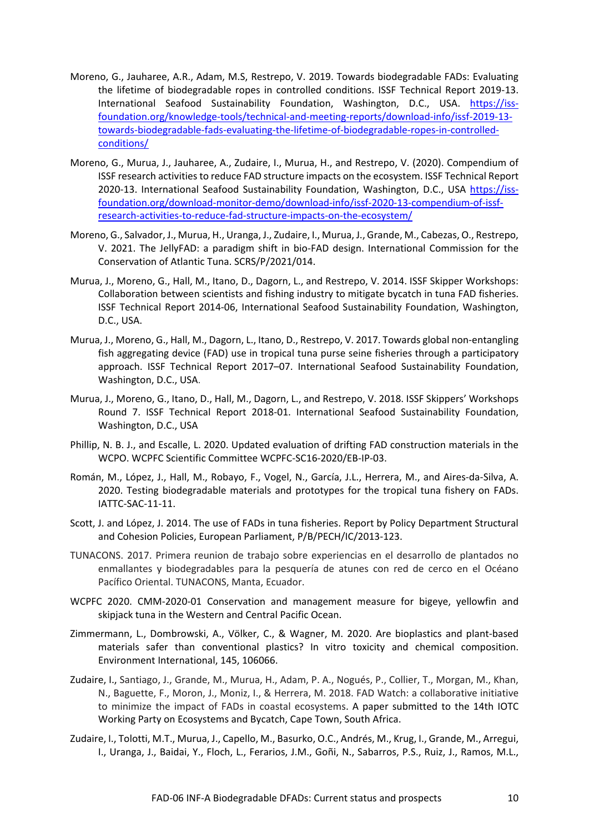- Moreno, G., Jauharee, A.R., Adam, M.S, Restrepo, V. 2019. Towards biodegradable FADs: Evaluating the lifetime of biodegradable ropes in controlled conditions. ISSF Technical Report 2019-13. International Seafood Sustainability Foundation, Washington, D.C., USA. [https://iss](https://iss-foundation.org/knowledge-tools/technical-and-meeting-reports/download-info/issf-2019-13-towards-biodegradable-fads-evaluating-the-lifetime-of-biodegradable-ropes-in-controlled-conditions/)[foundation.org/knowledge-tools/technical-and-meeting-reports/download-info/issf-2019-13](https://iss-foundation.org/knowledge-tools/technical-and-meeting-reports/download-info/issf-2019-13-towards-biodegradable-fads-evaluating-the-lifetime-of-biodegradable-ropes-in-controlled-conditions/) [towards-biodegradable-fads-evaluating-the-lifetime-of-biodegradable-ropes-in-controlled](https://iss-foundation.org/knowledge-tools/technical-and-meeting-reports/download-info/issf-2019-13-towards-biodegradable-fads-evaluating-the-lifetime-of-biodegradable-ropes-in-controlled-conditions/)[conditions/](https://iss-foundation.org/knowledge-tools/technical-and-meeting-reports/download-info/issf-2019-13-towards-biodegradable-fads-evaluating-the-lifetime-of-biodegradable-ropes-in-controlled-conditions/)
- Moreno, G., Murua, J., Jauharee, A., Zudaire, I., Murua, H., and Restrepo, V. (2020). Compendium of ISSF research activities to reduce FAD structure impacts on the ecosystem. ISSF Technical Report 2020-13. International Seafood Sustainability Foundation, Washington, D.C., USA https://issfoundation.org/download-monitor-demo/download-info/issf-2020-13-compendium-of-issfresearch-activities-to-reduce-fad-structure-impacts-on-the-ecosystem/
- Moreno, G., Salvador, J., Murua, H., Uranga, J., Zudaire, I., Murua, J., Grande, M., Cabezas, O., Restrepo, V. 2021. The JellyFAD: a paradigm shift in bio-FAD design. International Commission for the Conservation of Atlantic Tuna. SCRS/P/2021/014.
- Murua, J., Moreno, G., Hall, M., Itano, D., Dagorn, L., and Restrepo, V. 2014. ISSF Skipper Workshops: Collaboration between scientists and fishing industry to mitigate bycatch in tuna FAD fisheries. ISSF Technical Report 2014-06, International Seafood Sustainability Foundation, Washington, D.C., USA.
- Murua, J., Moreno, G., Hall, M., Dagorn, L., Itano, D., Restrepo, V. 2017. Towards global non-entangling fish aggregating device (FAD) use in tropical tuna purse seine fisheries through a participatory approach. ISSF Technical Report 2017–07. International Seafood Sustainability Foundation, Washington, D.C., USA.
- Murua, J., Moreno, G., Itano, D., Hall, M., Dagorn, L., and Restrepo, V. 2018. ISSF Skippers' Workshops Round 7. ISSF Technical Report 2018-01. International Seafood Sustainability Foundation, Washington, D.C., USA
- Phillip, N. B. J., and Escalle, L. 2020. Updated evaluation of drifting FAD construction materials in the WCPO. WCPFC Scientific Committee WCPFC-SC16-2020/EB-IP-03.
- Román, M., López, J., Hall, M., Robayo, F., Vogel, N., García, J.L., Herrera, M., and Aires-da-Silva, A. 2020. Testing biodegradable materials and prototypes for the tropical tuna fishery on FADs. IATTC-SAC-11-11.
- Scott, J. and López, J. 2014. The use of FADs in tuna fisheries. Report by Policy Department Structural and Cohesion Policies, European Parliament, P/B/PECH/IC/2013-123.
- TUNACONS. 2017. Primera reunion de trabajo sobre experiencias en el desarrollo de plantados no enmallantes y biodegradables para la pesquería de atunes con red de cerco en el Océano Pacífico Oriental. TUNACONS, Manta, Ecuador.
- WCPFC 2020. CMM-2020-01 Conservation and management measure for bigeye, yellowfin and skipjack tuna in the Western and Central Pacific Ocean.
- Zimmermann, L., Dombrowski, A., Völker, C., & Wagner, M. 2020. Are bioplastics and plant-based materials safer than conventional plastics? In vitro toxicity and chemical composition. Environment International, 145, 106066.
- Zudaire, I., Santiago, J., Grande, M., Murua, H., Adam, P. A., Nogués, P., Collier, T., Morgan, M., Khan, N., Baguette, F., Moron, J., Moniz, I., & Herrera, M. 2018. FAD Watch: a collaborative initiative to minimize the impact of FADs in coastal ecosystems. A paper submitted to the 14th IOTC Working Party on Ecosystems and Bycatch, Cape Town, South Africa.
- Zudaire, I., Tolotti, M.T., Murua, J., Capello, M., Basurko, O.C., Andrés, M., Krug, I., Grande, M., Arregui, I., Uranga, J., Baidai, Y., Floch, L., Ferarios, J.M., Goñi, N., Sabarros, P.S., Ruiz, J., Ramos, M.L.,